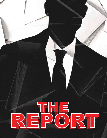# EPORT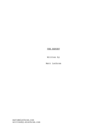# THE REPORT

Written by

Matt Lathrom

matt@mlathrom.com writtenby.mlathrom.com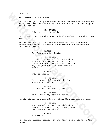FADE IN:

### **INT. CORNER OFFICE - DAY**

MR. RUBINS (51), big and gruff like a wrestler in a business suit, reclines with his feet on the oak desk. He holds up a small booklet.

> MR. RUBINS This, my boy, is gold.

He tosses it across the desk. A hand catches it on the other end.

MARTIN MILLS (30s) clutches the booklet. His schoolboy nervousness melts in relief. He buttons his hand-me-down wool suit jacket.

> MARTIN Th--Thank you Mr. Rubins.

# MR. RUBINS

FADE IN:<br>
NR. RUBINS (51), big and gruff like a wrestler in a business<br>
smill pocklet.<br>
WR. RUBINS with his feat on the cak desk. He holds up a<br>
small bocklet.<br>
This, my boy, is gold.<br>
Ne tonse it across the desk. A hand c You did the heavy lifting on this account, Mister Mills. As far as I'm concerned, the account's in the bag. We present tomorrow, two oclock.

MARTIN I'll be there.

MR. RUBINS You're damn right you will. You're presenting, Mills.

MARTIN You can call me Martin, sir.

MR. RUBINS No no. Up here, we're misters.

Martin stands up straighter at this. He suppresses a grin.

MR. RUBINS Now, Rachel is familiar with this client, so she's going to help with last minute revisions.

# MARTIN

R-Rachel?

Mr. Rubins summons someone by the door with a flick of the wrist.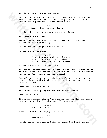Statuesque with a red lipstick to match her skin-tight suit. She carries leather folder and a couple of files. It's sexist how superficially attractive she is.

## RACHEL

Ready when you are, Martin.

Martin's back to the nervous schoolboy look.

### **INT. BOARD ROOM - DAY**

Rachel leans toward Martin. Her cleavage in full view. Martin tries to look away.

She points to a page on the booklet.

We can't see the pages.

RACHEL These figures could be adjusted. Nothing wrong with a playing doctor. With the charts, I mean.

Martin makes a mark on the page.

Xarin episn around to see Rachel.<br>
Stetuespone with a red ligatick to match her ekin-tight suit.<br>
She carries leading rooter and a couple of files. It's<br>
sexist how superficially attractive she is.<br>
Neartin's book to the n The sound becomes muffled. A buzz in the ears. Martin peers over at Rachel's cleavage. His face goes flush. She catches his gaze. Gives him a seductive smirk.

Everything moves slow. Martin moves the pen in across the paper. Almost without his knowledge. He peers over at his hand, confused.

CLOSE ON THE BLANK PAPERS

The words "wake up" typed out across the center.

CLOSE ON MARTIN

The sound becomes clear. The buzzing leaves. Martins zones out on the words. The cleavage. The report.

# MARTIN

What the fuck?

Rachel's seductive, happy look fades.

### RACHEL

Excuse me.

Martin opens the report. Flips through. All blank pages.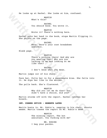He looks up at Rachel. She looks at him, confused.

MARTIN What's this?

RACHEL You should know. You wrote it.

MARTIN Wrote it? There's nothing here.

Rachel puts her hand in the book, stops Martin flipping it. She points on the page.

> RACHEL Here. Here's your cost breakdown analysis.

Blank page.

We looks up at Rachel. She looks at him, confused.<br>
What's this?<br>
You should know. You wrote it.<br>
You should know. You wrote it.<br>
Wrote it? There's nothing here.<br>
Nachel puts ber hand in the book, stop Martin flipping it.<br> MARTIN There's nothing there! And why are you wearing that? Why are you talking to me and looking at me like that?

RACHEL I don't know what you mean.

Martin jumps out of his chair.

Face her. Pulls her in for a passionate kiss. She falls into it. He dips her like in the movies.

The pulls back. She's flustered.

MARTIN Why did you let me do that? You didn't have a choice, did you?

Martin storms off with the report. Rachel catches her breath.

**INT. CORNER OFFICE - MOMENTS LATER**

Martin busts in. Mr. Rubin's, napping in his chair, shoots awake. Martin tosses the report on Mr. Rubin's desk.

> MARTIN The winning report. The hot assistant. You fucking with me?

MR. RUBINS I beg your pardon.